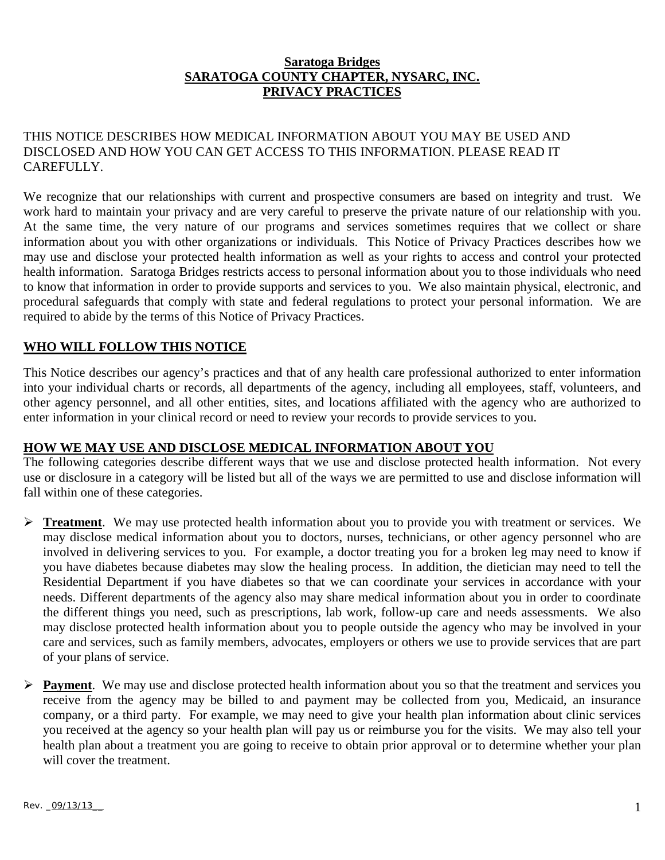#### **Saratoga Bridges SARATOGA COUNTY CHAPTER, NYSARC, INC. PRIVACY PRACTICES**

## THIS NOTICE DESCRIBES HOW MEDICAL INFORMATION ABOUT YOU MAY BE USED AND DISCLOSED AND HOW YOU CAN GET ACCESS TO THIS INFORMATION. PLEASE READ IT CAREFULLY.

We recognize that our relationships with current and prospective consumers are based on integrity and trust. We work hard to maintain your privacy and are very careful to preserve the private nature of our relationship with you. At the same time, the very nature of our programs and services sometimes requires that we collect or share information about you with other organizations or individuals. This Notice of Privacy Practices describes how we may use and disclose your protected health information as well as your rights to access and control your protected health information. Saratoga Bridges restricts access to personal information about you to those individuals who need to know that information in order to provide supports and services to you. We also maintain physical, electronic, and procedural safeguards that comply with state and federal regulations to protect your personal information. We are required to abide by the terms of this Notice of Privacy Practices.

# **WHO WILL FOLLOW THIS NOTICE**

This Notice describes our agency's practices and that of any health care professional authorized to enter information into your individual charts or records, all departments of the agency, including all employees, staff, volunteers, and other agency personnel, and all other entities, sites, and locations affiliated with the agency who are authorized to enter information in your clinical record or need to review your records to provide services to you.

# **HOW WE MAY USE AND DISCLOSE MEDICAL INFORMATION ABOUT YOU**

The following categories describe different ways that we use and disclose protected health information. Not every use or disclosure in a category will be listed but all of the ways we are permitted to use and disclose information will fall within one of these categories.

- **Treatment**. We may use protected health information about you to provide you with treatment or services. We may disclose medical information about you to doctors, nurses, technicians, or other agency personnel who are involved in delivering services to you. For example, a doctor treating you for a broken leg may need to know if you have diabetes because diabetes may slow the healing process. In addition, the dietician may need to tell the Residential Department if you have diabetes so that we can coordinate your services in accordance with your needs. Different departments of the agency also may share medical information about you in order to coordinate the different things you need, such as prescriptions, lab work, follow-up care and needs assessments. We also may disclose protected health information about you to people outside the agency who may be involved in your care and services, such as family members, advocates, employers or others we use to provide services that are part of your plans of service.
- **Payment**. We may use and disclose protected health information about you so that the treatment and services you receive from the agency may be billed to and payment may be collected from you, Medicaid, an insurance company, or a third party. For example, we may need to give your health plan information about clinic services you received at the agency so your health plan will pay us or reimburse you for the visits. We may also tell your health plan about a treatment you are going to receive to obtain prior approval or to determine whether your plan will cover the treatment.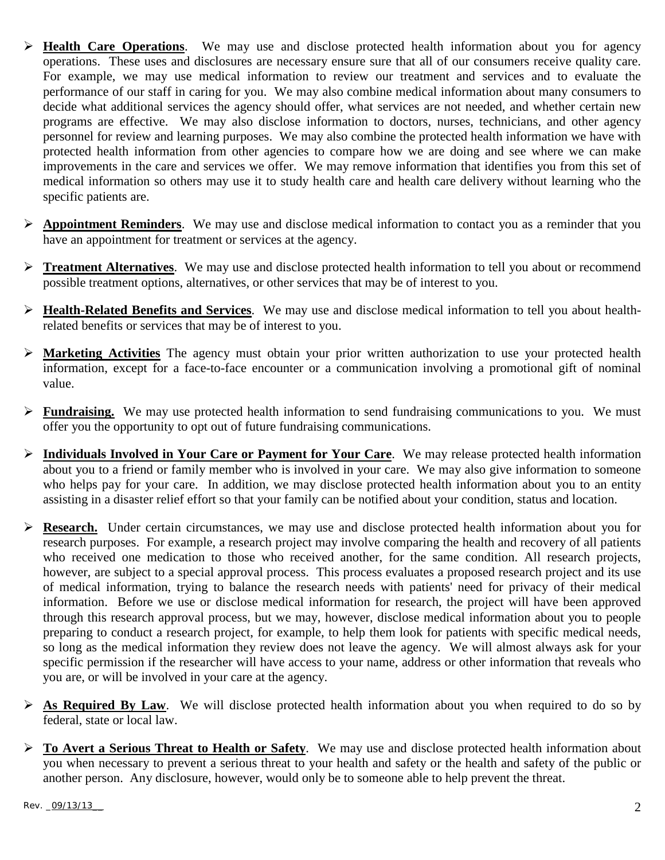- **Health Care Operations**. We may use and disclose protected health information about you for agency operations. These uses and disclosures are necessary ensure sure that all of our consumers receive quality care. For example, we may use medical information to review our treatment and services and to evaluate the performance of our staff in caring for you. We may also combine medical information about many consumers to decide what additional services the agency should offer, what services are not needed, and whether certain new programs are effective. We may also disclose information to doctors, nurses, technicians, and other agency personnel for review and learning purposes. We may also combine the protected health information we have with protected health information from other agencies to compare how we are doing and see where we can make improvements in the care and services we offer. We may remove information that identifies you from this set of medical information so others may use it to study health care and health care delivery without learning who the specific patients are.
- **Appointment Reminders**. We may use and disclose medical information to contact you as a reminder that you have an appointment for treatment or services at the agency.
- **Treatment Alternatives**. We may use and disclose protected health information to tell you about or recommend possible treatment options, alternatives, or other services that may be of interest to you.
- **Health-Related Benefits and Services**. We may use and disclose medical information to tell you about healthrelated benefits or services that may be of interest to you.
- **Marketing Activities** The agency must obtain your prior written authorization to use your protected health information, except for a face-to-face encounter or a communication involving a promotional gift of nominal value.
- **Fundraising.** We may use protected health information to send fundraising communications to you. We must offer you the opportunity to opt out of future fundraising communications.
- **Individuals Involved in Your Care or Payment for Your Care**. We may release protected health information about you to a friend or family member who is involved in your care. We may also give information to someone who helps pay for your care. In addition, we may disclose protected health information about you to an entity assisting in a disaster relief effort so that your family can be notified about your condition, status and location.
- **Research.** Under certain circumstances, we may use and disclose protected health information about you for research purposes. For example, a research project may involve comparing the health and recovery of all patients who received one medication to those who received another, for the same condition. All research projects, however, are subject to a special approval process. This process evaluates a proposed research project and its use of medical information, trying to balance the research needs with patients' need for privacy of their medical information. Before we use or disclose medical information for research, the project will have been approved through this research approval process, but we may, however, disclose medical information about you to people preparing to conduct a research project, for example, to help them look for patients with specific medical needs, so long as the medical information they review does not leave the agency. We will almost always ask for your specific permission if the researcher will have access to your name, address or other information that reveals who you are, or will be involved in your care at the agency.
- **As Required By Law**. We will disclose protected health information about you when required to do so by federal, state or local law.
- **To Avert a Serious Threat to Health or Safety**. We may use and disclose protected health information about you when necessary to prevent a serious threat to your health and safety or the health and safety of the public or another person. Any disclosure, however, would only be to someone able to help prevent the threat.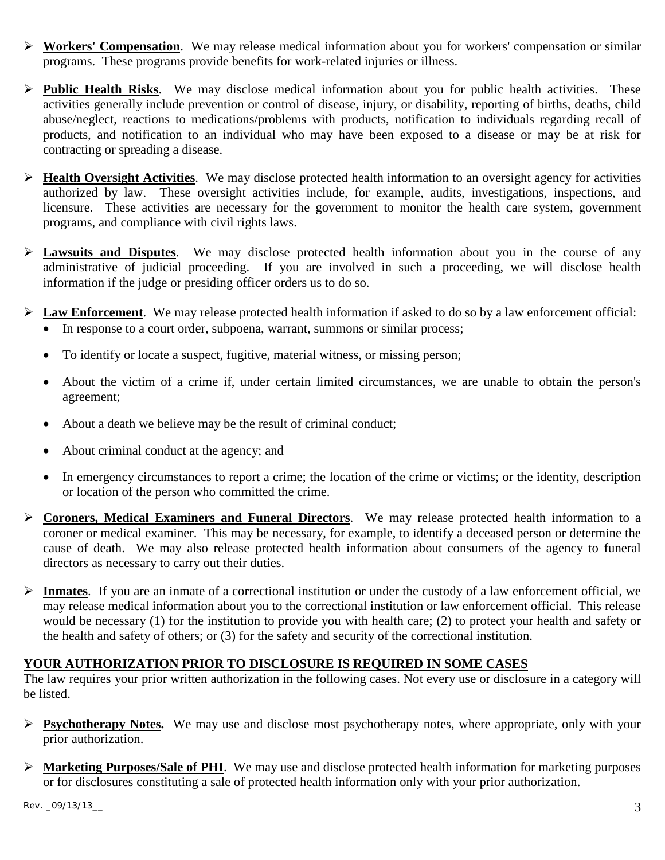- **Workers' Compensation**. We may release medical information about you for workers' compensation or similar programs. These programs provide benefits for work-related injuries or illness.
- **Public Health Risks**. We may disclose medical information about you for public health activities. These activities generally include prevention or control of disease, injury, or disability, reporting of births, deaths, child abuse/neglect, reactions to medications/problems with products, notification to individuals regarding recall of products, and notification to an individual who may have been exposed to a disease or may be at risk for contracting or spreading a disease.
- **Health Oversight Activities**. We may disclose protected health information to an oversight agency for activities authorized by law. These oversight activities include, for example, audits, investigations, inspections, and licensure. These activities are necessary for the government to monitor the health care system, government programs, and compliance with civil rights laws.
- **Lawsuits and Disputes**. We may disclose protected health information about you in the course of any administrative of judicial proceeding. If you are involved in such a proceeding, we will disclose health information if the judge or presiding officer orders us to do so.
- **Law Enforcement**. We may release protected health information if asked to do so by a law enforcement official: • In response to a court order, subpoena, warrant, summons or similar process;
	- To identify or locate a suspect, fugitive, material witness, or missing person;
	- About the victim of a crime if, under certain limited circumstances, we are unable to obtain the person's agreement;
	- About a death we believe may be the result of criminal conduct;
	- About criminal conduct at the agency; and
	- In emergency circumstances to report a crime; the location of the crime or victims; or the identity, description or location of the person who committed the crime.
- **Coroners, Medical Examiners and Funeral Directors**. We may release protected health information to a coroner or medical examiner. This may be necessary, for example, to identify a deceased person or determine the cause of death. We may also release protected health information about consumers of the agency to funeral directors as necessary to carry out their duties.
- **Inmates**. If you are an inmate of a correctional institution or under the custody of a law enforcement official, we may release medical information about you to the correctional institution or law enforcement official. This release would be necessary (1) for the institution to provide you with health care; (2) to protect your health and safety or the health and safety of others; or (3) for the safety and security of the correctional institution.

### **YOUR AUTHORIZATION PRIOR TO DISCLOSURE IS REQUIRED IN SOME CASES**

The law requires your prior written authorization in the following cases. Not every use or disclosure in a category will be listed.

- **Psychotherapy Notes.** We may use and disclose most psychotherapy notes, where appropriate, only with your prior authorization.
- **Marketing Purposes/Sale of PHI**. We may use and disclose protected health information for marketing purposes or for disclosures constituting a sale of protected health information only with your prior authorization.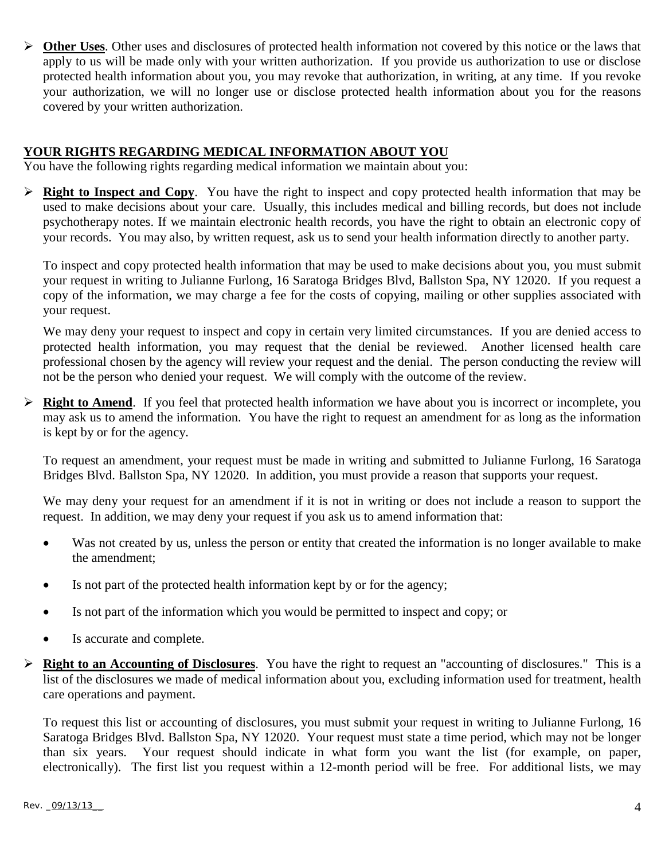**Other Uses**. Other uses and disclosures of protected health information not covered by this notice or the laws that apply to us will be made only with your written authorization. If you provide us authorization to use or disclose protected health information about you, you may revoke that authorization, in writing, at any time. If you revoke your authorization, we will no longer use or disclose protected health information about you for the reasons covered by your written authorization.

### **YOUR RIGHTS REGARDING MEDICAL INFORMATION ABOUT YOU**

You have the following rights regarding medical information we maintain about you:

 **Right to Inspect and Copy**. You have the right to inspect and copy protected health information that may be used to make decisions about your care. Usually, this includes medical and billing records, but does not include psychotherapy notes. If we maintain electronic health records, you have the right to obtain an electronic copy of your records. You may also, by written request, ask us to send your health information directly to another party.

To inspect and copy protected health information that may be used to make decisions about you, you must submit your request in writing to Julianne Furlong, 16 Saratoga Bridges Blvd, Ballston Spa, NY 12020. If you request a copy of the information, we may charge a fee for the costs of copying, mailing or other supplies associated with your request.

We may deny your request to inspect and copy in certain very limited circumstances. If you are denied access to protected health information, you may request that the denial be reviewed. Another licensed health care professional chosen by the agency will review your request and the denial. The person conducting the review will not be the person who denied your request. We will comply with the outcome of the review.

**Right to Amend.** If you feel that protected health information we have about you is incorrect or incomplete, you may ask us to amend the information. You have the right to request an amendment for as long as the information is kept by or for the agency.

To request an amendment, your request must be made in writing and submitted to Julianne Furlong, 16 Saratoga Bridges Blvd. Ballston Spa, NY 12020. In addition, you must provide a reason that supports your request.

We may deny your request for an amendment if it is not in writing or does not include a reason to support the request. In addition, we may deny your request if you ask us to amend information that:

- Was not created by us, unless the person or entity that created the information is no longer available to make the amendment;
- Is not part of the protected health information kept by or for the agency;
- Is not part of the information which you would be permitted to inspect and copy; or
- Is accurate and complete.
- **Right to an Accounting of Disclosures**. You have the right to request an "accounting of disclosures." This is a list of the disclosures we made of medical information about you, excluding information used for treatment, health care operations and payment.

To request this list or accounting of disclosures, you must submit your request in writing to Julianne Furlong, 16 Saratoga Bridges Blvd. Ballston Spa, NY 12020. Your request must state a time period, which may not be longer than six years. Your request should indicate in what form you want the list (for example, on paper, electronically). The first list you request within a 12-month period will be free. For additional lists, we may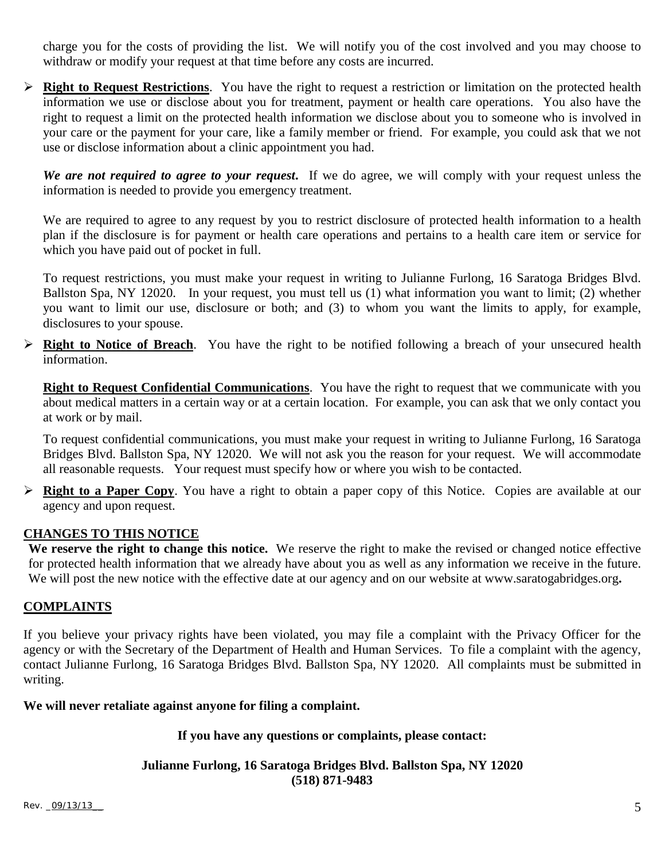charge you for the costs of providing the list. We will notify you of the cost involved and you may choose to withdraw or modify your request at that time before any costs are incurred.

 **Right to Request Restrictions**. You have the right to request a restriction or limitation on the protected health information we use or disclose about you for treatment, payment or health care operations. You also have the right to request a limit on the protected health information we disclose about you to someone who is involved in your care or the payment for your care, like a family member or friend. For example, you could ask that we not use or disclose information about a clinic appointment you had.

*We are not required to agree to your request***.** If we do agree, we will comply with your request unless the information is needed to provide you emergency treatment.

We are required to agree to any request by you to restrict disclosure of protected health information to a health plan if the disclosure is for payment or health care operations and pertains to a health care item or service for which you have paid out of pocket in full.

To request restrictions, you must make your request in writing to Julianne Furlong, 16 Saratoga Bridges Blvd. Ballston Spa, NY 12020. In your request, you must tell us (1) what information you want to limit; (2) whether you want to limit our use, disclosure or both; and (3) to whom you want the limits to apply, for example, disclosures to your spouse.

 **Right to Notice of Breach**. You have the right to be notified following a breach of your unsecured health information.

**Right to Request Confidential Communications**. You have the right to request that we communicate with you about medical matters in a certain way or at a certain location. For example, you can ask that we only contact you at work or by mail.

To request confidential communications, you must make your request in writing to Julianne Furlong, 16 Saratoga Bridges Blvd. Ballston Spa, NY 12020. We will not ask you the reason for your request. We will accommodate all reasonable requests. Your request must specify how or where you wish to be contacted.

 **Right to a Paper Copy**. You have a right to obtain a paper copy of this Notice. Copies are available at our agency and upon request.

### **CHANGES TO THIS NOTICE**

**We reserve the right to change this notice.** We reserve the right to make the revised or changed notice effective for protected health information that we already have about you as well as any information we receive in the future. We will post the new notice with the effective date at our agency and on our website at www.saratogabridges.org.

### **COMPLAINTS**

If you believe your privacy rights have been violated, you may file a complaint with the Privacy Officer for the agency or with the Secretary of the Department of Health and Human Services. To file a complaint with the agency, contact Julianne Furlong, 16 Saratoga Bridges Blvd. Ballston Spa, NY 12020. All complaints must be submitted in writing.

#### **We will never retaliate against anyone for filing a complaint.**

#### **If you have any questions or complaints, please contact:**

**Julianne Furlong, 16 Saratoga Bridges Blvd. Ballston Spa, NY 12020 (518) 871-9483**